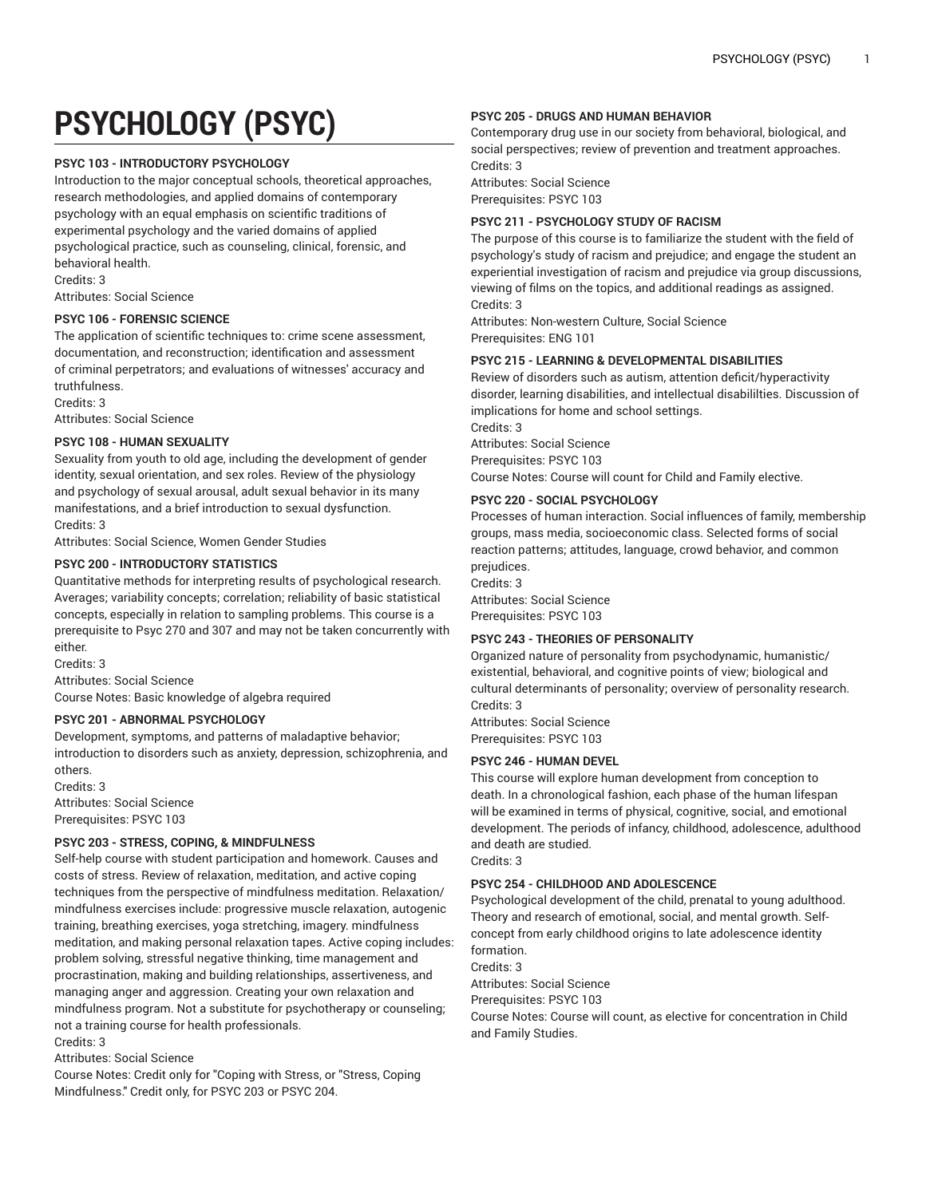# **PSYCHOLOGY (PSYC)**

## **PSYC 103 - INTRODUCTORY PSYCHOLOGY**

Introduction to the major conceptual schools, theoretical approaches, research methodologies, and applied domains of contemporary psychology with an equal emphasis on scientific traditions of experimental psychology and the varied domains of applied psychological practice, such as counseling, clinical, forensic, and behavioral health.

Credits: 3

Attributes: Social Science

## **PSYC 106 - FORENSIC SCIENCE**

The application of scientific techniques to: crime scene assessment, documentation, and reconstruction; identification and assessment of criminal perpetrators; and evaluations of witnesses' accuracy and truthfulness.

Credits: 3

Attributes: Social Science

## **PSYC 108 - HUMAN SEXUALITY**

Sexuality from youth to old age, including the development of gender identity, sexual orientation, and sex roles. Review of the physiology and psychology of sexual arousal, adult sexual behavior in its many manifestations, and a brief introduction to sexual dysfunction. Credits: 3

Attributes: Social Science, Women Gender Studies

## **PSYC 200 - INTRODUCTORY STATISTICS**

Quantitative methods for interpreting results of psychological research. Averages; variability concepts; correlation; reliability of basic statistical concepts, especially in relation to sampling problems. This course is a prerequisite to Psyc 270 and 307 and may not be taken concurrently with either.

Credits: 3

Attributes: Social Science

Course Notes: Basic knowledge of algebra required

# **PSYC 201 - ABNORMAL PSYCHOLOGY**

Development, symptoms, and patterns of maladaptive behavior; introduction to disorders such as anxiety, depression, schizophrenia, and others.

Credits: 3 Attributes: Social Science Prerequisites: PSYC 103

## **PSYC 203 - STRESS, COPING, & MINDFULNESS**

Self-help course with student participation and homework. Causes and costs of stress. Review of relaxation, meditation, and active coping techniques from the perspective of mindfulness meditation. Relaxation/ mindfulness exercises include: progressive muscle relaxation, autogenic training, breathing exercises, yoga stretching, imagery. mindfulness meditation, and making personal relaxation tapes. Active coping includes: problem solving, stressful negative thinking, time management and procrastination, making and building relationships, assertiveness, and managing anger and aggression. Creating your own relaxation and mindfulness program. Not a substitute for psychotherapy or counseling; not a training course for health professionals.

Credits: 3

Attributes: Social Science

Course Notes: Credit only for "Coping with Stress, or "Stress, Coping Mindfulness." Credit only, for PSYC 203 or PSYC 204.

## **PSYC 205 - DRUGS AND HUMAN BEHAVIOR**

Contemporary drug use in our society from behavioral, biological, and social perspectives; review of prevention and treatment approaches. Credits: 3

Attributes: Social Science Prerequisites: PSYC 103

## **PSYC 211 - PSYCHOLOGY STUDY OF RACISM**

The purpose of this course is to familiarize the student with the field of psychology's study of racism and prejudice; and engage the student an experiential investigation of racism and prejudice via group discussions, viewing of films on the topics, and additional readings as assigned. Credits: 3

Attributes: Non-western Culture, Social Science Prerequisites: ENG 101

## **PSYC 215 - LEARNING & DEVELOPMENTAL DISABILITIES**

Review of disorders such as autism, attention deficit/hyperactivity disorder, learning disabilities, and intellectual disabililties. Discussion of implications for home and school settings. Credits: 3

Attributes: Social Science Prerequisites: PSYC 103 Course Notes: Course will count for Child and Family elective.

# **PSYC 220 - SOCIAL PSYCHOLOGY**

Processes of human interaction. Social influences of family, membership groups, mass media, socioeconomic class. Selected forms of social reaction patterns; attitudes, language, crowd behavior, and common prejudices.

Credits: 3 Attributes: Social Science Prerequisites: PSYC 103

# **PSYC 243 - THEORIES OF PERSONALITY**

Organized nature of personality from psychodynamic, humanistic/ existential, behavioral, and cognitive points of view; biological and cultural determinants of personality; overview of personality research. Credits: 3 Attributes: Social Science

Prerequisites: PSYC 103

# **PSYC 246 - HUMAN DEVEL**

This course will explore human development from conception to death. In a chronological fashion, each phase of the human lifespan will be examined in terms of physical, cognitive, social, and emotional development. The periods of infancy, childhood, adolescence, adulthood and death are studied.

Credits: 3

## **PSYC 254 - CHILDHOOD AND ADOLESCENCE**

Psychological development of the child, prenatal to young adulthood. Theory and research of emotional, social, and mental growth. Selfconcept from early childhood origins to late adolescence identity formation. Credits: 3 Attributes: Social Science Prerequisites: PSYC 103

Course Notes: Course will count, as elective for concentration in Child and Family Studies.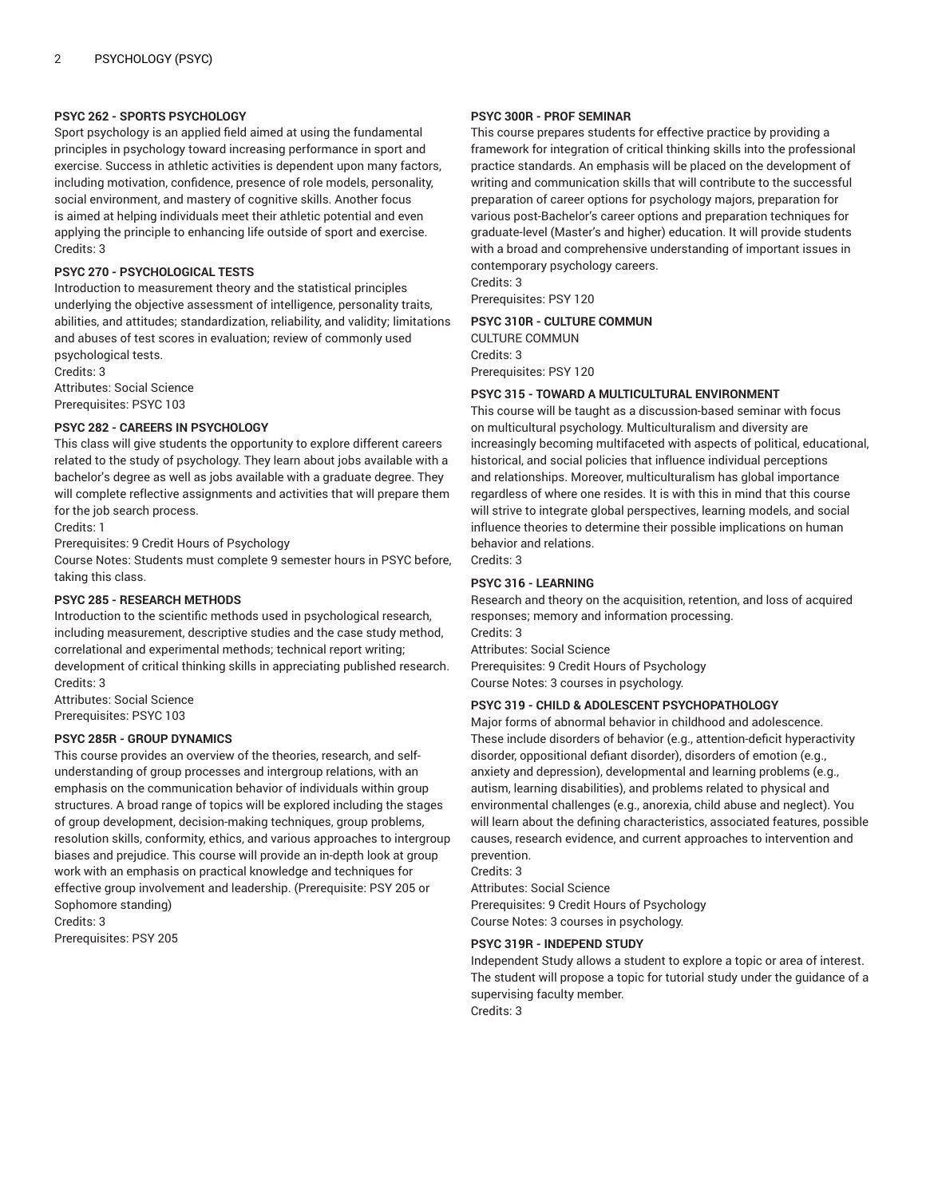#### **PSYC 262 - SPORTS PSYCHOLOGY**

Sport psychology is an applied field aimed at using the fundamental principles in psychology toward increasing performance in sport and exercise. Success in athletic activities is dependent upon many factors, including motivation, confidence, presence of role models, personality, social environment, and mastery of cognitive skills. Another focus is aimed at helping individuals meet their athletic potential and even applying the principle to enhancing life outside of sport and exercise. Credits: 3

#### **PSYC 270 - PSYCHOLOGICAL TESTS**

Introduction to measurement theory and the statistical principles underlying the objective assessment of intelligence, personality traits, abilities, and attitudes; standardization, reliability, and validity; limitations and abuses of test scores in evaluation; review of commonly used psychological tests.

Credits: 3 Attributes: Social Science Prerequisites: PSYC 103

#### **PSYC 282 - CAREERS IN PSYCHOLOGY**

This class will give students the opportunity to explore different careers related to the study of psychology. They learn about jobs available with a bachelor's degree as well as jobs available with a graduate degree. They will complete reflective assignments and activities that will prepare them for the job search process.

Credits: 1

Prerequisites: 9 Credit Hours of Psychology

Course Notes: Students must complete 9 semester hours in PSYC before, taking this class.

#### **PSYC 285 - RESEARCH METHODS**

Introduction to the scientific methods used in psychological research, including measurement, descriptive studies and the case study method, correlational and experimental methods; technical report writing; development of critical thinking skills in appreciating published research. Credits: 3

Attributes: Social Science Prerequisites: PSYC 103

## **PSYC 285R - GROUP DYNAMICS**

This course provides an overview of the theories, research, and selfunderstanding of group processes and intergroup relations, with an emphasis on the communication behavior of individuals within group structures. A broad range of topics will be explored including the stages of group development, decision-making techniques, group problems, resolution skills, conformity, ethics, and various approaches to intergroup biases and prejudice. This course will provide an in-depth look at group work with an emphasis on practical knowledge and techniques for effective group involvement and leadership. (Prerequisite: PSY 205 or Sophomore standing) Credits: 3

Prerequisites: PSY 205

## **PSYC 300R - PROF SEMINAR**

This course prepares students for effective practice by providing a framework for integration of critical thinking skills into the professional practice standards. An emphasis will be placed on the development of writing and communication skills that will contribute to the successful preparation of career options for psychology majors, preparation for various post-Bachelor's career options and preparation techniques for graduate-level (Master's and higher) education. It will provide students with a broad and comprehensive understanding of important issues in contemporary psychology careers.

Credits: 3 Prerequisites: PSY 120

**PSYC 310R - CULTURE COMMUN** CULTURE COMMUN Credits: 3 Prerequisites: PSY 120

#### **PSYC 315 - TOWARD A MULTICULTURAL ENVIRONMENT**

This course will be taught as a discussion-based seminar with focus on multicultural psychology. Multiculturalism and diversity are increasingly becoming multifaceted with aspects of political, educational, historical, and social policies that influence individual perceptions and relationships. Moreover, multiculturalism has global importance regardless of where one resides. It is with this in mind that this course will strive to integrate global perspectives, learning models, and social influence theories to determine their possible implications on human behavior and relations. Credits: 3

## **PSYC 316 - LEARNING**

Research and theory on the acquisition, retention, and loss of acquired responses; memory and information processing. Credits: 3 Attributes: Social Science Prerequisites: 9 Credit Hours of Psychology Course Notes: 3 courses in psychology.

## **PSYC 319 - CHILD & ADOLESCENT PSYCHOPATHOLOGY**

Major forms of abnormal behavior in childhood and adolescence. These include disorders of behavior (e.g., attention-deficit hyperactivity disorder, oppositional defiant disorder), disorders of emotion (e.g., anxiety and depression), developmental and learning problems (e.g., autism, learning disabilities), and problems related to physical and environmental challenges (e.g., anorexia, child abuse and neglect). You will learn about the defining characteristics, associated features, possible causes, research evidence, and current approaches to intervention and prevention.

Credits: 3

Attributes: Social Science Prerequisites: 9 Credit Hours of Psychology Course Notes: 3 courses in psychology.

#### **PSYC 319R - INDEPEND STUDY**

Independent Study allows a student to explore a topic or area of interest. The student will propose a topic for tutorial study under the guidance of a supervising faculty member. Credits: 3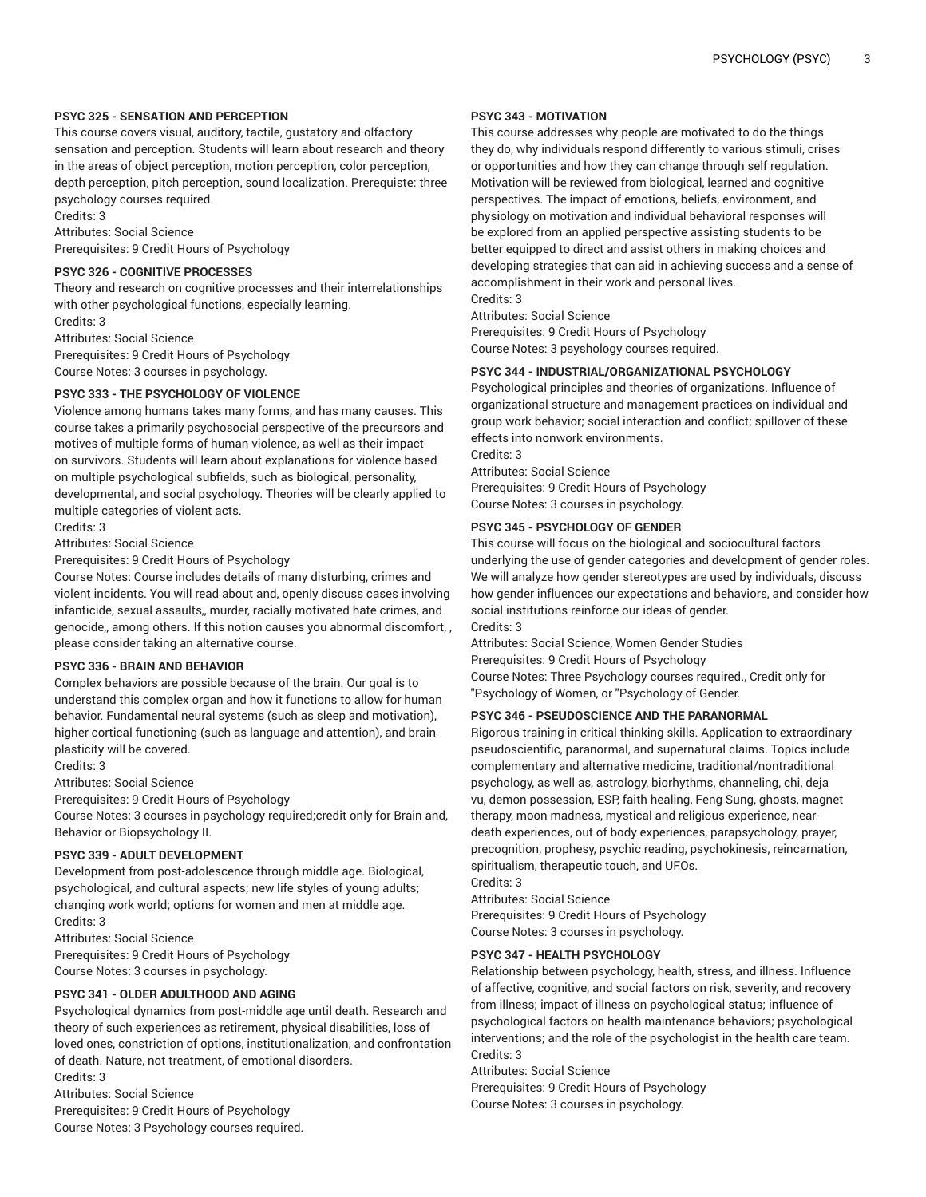## **PSYC 325 - SENSATION AND PERCEPTION**

This course covers visual, auditory, tactile, gustatory and olfactory sensation and perception. Students will learn about research and theory in the areas of object perception, motion perception, color perception, depth perception, pitch perception, sound localization. Prerequiste: three psychology courses required.

Credits: 3

Attributes: Social Science

Prerequisites: 9 Credit Hours of Psychology

# **PSYC 326 - COGNITIVE PROCESSES**

Theory and research on cognitive processes and their interrelationships with other psychological functions, especially learning. Credits: 3

Attributes: Social Science Prerequisites: 9 Credit Hours of Psychology

Course Notes: 3 courses in psychology.

## **PSYC 333 - THE PSYCHOLOGY OF VIOLENCE**

Violence among humans takes many forms, and has many causes. This course takes a primarily psychosocial perspective of the precursors and motives of multiple forms of human violence, as well as their impact on survivors. Students will learn about explanations for violence based on multiple psychological subfields, such as biological, personality, developmental, and social psychology. Theories will be clearly applied to multiple categories of violent acts.

Credits: 3

Attributes: Social Science

Prerequisites: 9 Credit Hours of Psychology

Course Notes: Course includes details of many disturbing, crimes and violent incidents. You will read about and, openly discuss cases involving infanticide, sexual assaults,, murder, racially motivated hate crimes, and genocide,, among others. If this notion causes you abnormal discomfort, , please consider taking an alternative course.

## **PSYC 336 - BRAIN AND BEHAVIOR**

Complex behaviors are possible because of the brain. Our goal is to understand this complex organ and how it functions to allow for human behavior. Fundamental neural systems (such as sleep and motivation), higher cortical functioning (such as language and attention), and brain plasticity will be covered.

Credits: 3

Attributes: Social Science

Prerequisites: 9 Credit Hours of Psychology

Course Notes: 3 courses in psychology required;credit only for Brain and, Behavior or Biopsychology II.

## **PSYC 339 - ADULT DEVELOPMENT**

Development from post-adolescence through middle age. Biological, psychological, and cultural aspects; new life styles of young adults; changing work world; options for women and men at middle age. Credits: 3

Attributes: Social Science Prerequisites: 9 Credit Hours of Psychology Course Notes: 3 courses in psychology.

**PSYC 341 - OLDER ADULTHOOD AND AGING**

Psychological dynamics from post-middle age until death. Research and theory of such experiences as retirement, physical disabilities, loss of loved ones, constriction of options, institutionalization, and confrontation of death. Nature, not treatment, of emotional disorders. Credits: 3

Attributes: Social Science Prerequisites: 9 Credit Hours of Psychology Course Notes: 3 Psychology courses required.

# **PSYC 343 - MOTIVATION**

This course addresses why people are motivated to do the things they do, why individuals respond differently to various stimuli, crises or opportunities and how they can change through self regulation. Motivation will be reviewed from biological, learned and cognitive perspectives. The impact of emotions, beliefs, environment, and physiology on motivation and individual behavioral responses will be explored from an applied perspective assisting students to be better equipped to direct and assist others in making choices and developing strategies that can aid in achieving success and a sense of accomplishment in their work and personal lives. Credits: 3

Attributes: Social Science

Prerequisites: 9 Credit Hours of Psychology Course Notes: 3 psyshology courses required.

# **PSYC 344 - INDUSTRIAL/ORGANIZATIONAL PSYCHOLOGY**

Psychological principles and theories of organizations. Influence of organizational structure and management practices on individual and group work behavior; social interaction and conflict; spillover of these effects into nonwork environments.

Credits: 3 Attributes: Social Science Prerequisites: 9 Credit Hours of Psychology Course Notes: 3 courses in psychology.

# **PSYC 345 - PSYCHOLOGY OF GENDER**

This course will focus on the biological and sociocultural factors underlying the use of gender categories and development of gender roles. We will analyze how gender stereotypes are used by individuals, discuss how gender influences our expectations and behaviors, and consider how social institutions reinforce our ideas of gender. Credits: 3

Attributes: Social Science, Women Gender Studies Prerequisites: 9 Credit Hours of Psychology Course Notes: Three Psychology courses required., Credit only for "Psychology of Women, or "Psychology of Gender.

## **PSYC 346 - PSEUDOSCIENCE AND THE PARANORMAL**

Rigorous training in critical thinking skills. Application to extraordinary pseudoscientific, paranormal, and supernatural claims. Topics include complementary and alternative medicine, traditional/nontraditional psychology, as well as, astrology, biorhythms, channeling, chi, deja vu, demon possession, ESP, faith healing, Feng Sung, ghosts, magnet therapy, moon madness, mystical and religious experience, neardeath experiences, out of body experiences, parapsychology, prayer, precognition, prophesy, psychic reading, psychokinesis, reincarnation, spiritualism, therapeutic touch, and UFOs.

Credits: 3

Attributes: Social Science

Prerequisites: 9 Credit Hours of Psychology Course Notes: 3 courses in psychology.

## **PSYC 347 - HEALTH PSYCHOLOGY**

Relationship between psychology, health, stress, and illness. Influence of affective, cognitive, and social factors on risk, severity, and recovery from illness; impact of illness on psychological status; influence of psychological factors on health maintenance behaviors; psychological interventions; and the role of the psychologist in the health care team. Credits: 3

Attributes: Social Science

Prerequisites: 9 Credit Hours of Psychology Course Notes: 3 courses in psychology.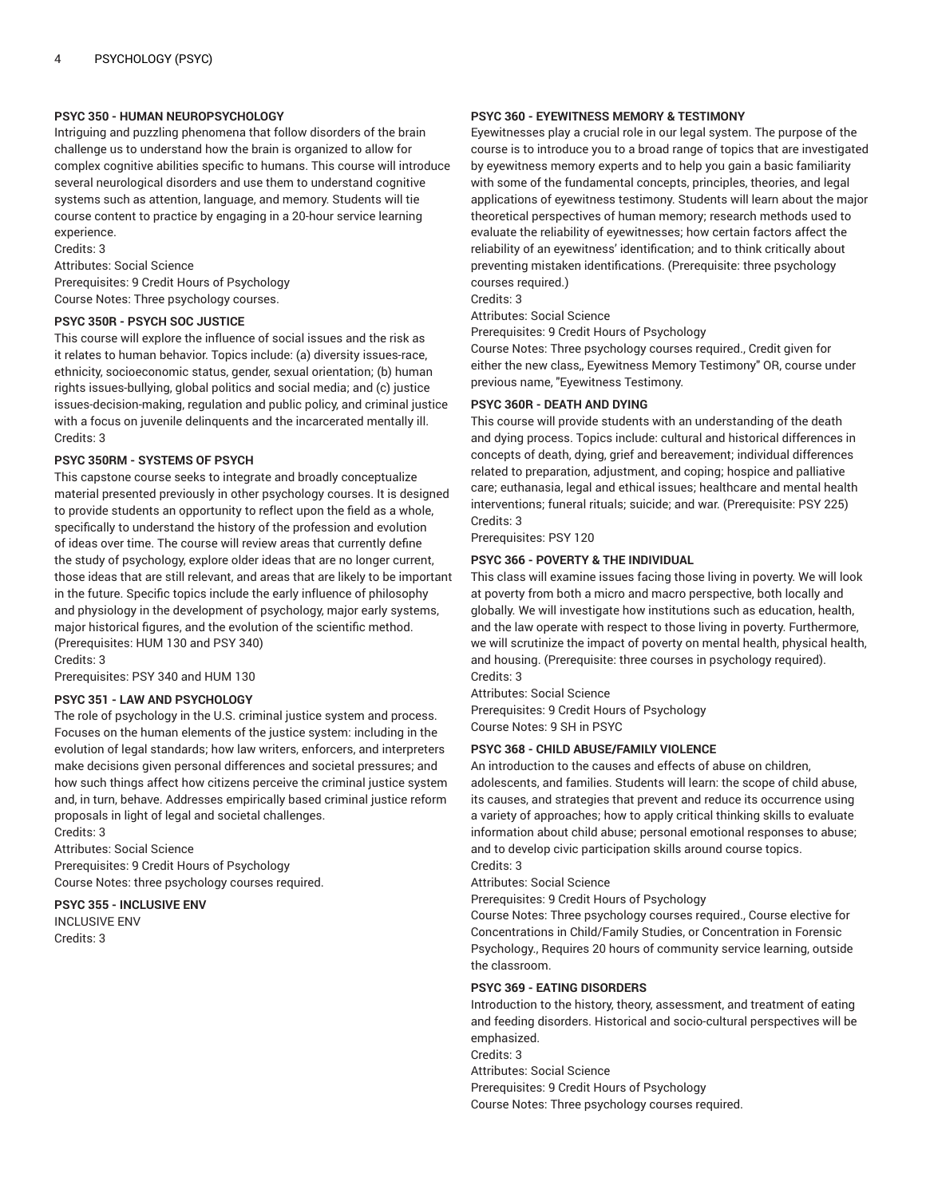## **PSYC 350 - HUMAN NEUROPSYCHOLOGY**

Intriguing and puzzling phenomena that follow disorders of the brain challenge us to understand how the brain is organized to allow for complex cognitive abilities specific to humans. This course will introduce several neurological disorders and use them to understand cognitive systems such as attention, language, and memory. Students will tie course content to practice by engaging in a 20-hour service learning experience.

Credits: 3

Attributes: Social Science Prerequisites: 9 Credit Hours of Psychology Course Notes: Three psychology courses.

## **PSYC 350R - PSYCH SOC JUSTICE**

This course will explore the influence of social issues and the risk as it relates to human behavior. Topics include: (a) diversity issues-race, ethnicity, socioeconomic status, gender, sexual orientation; (b) human rights issues-bullying, global politics and social media; and (c) justice issues-decision-making, regulation and public policy, and criminal justice with a focus on juvenile delinquents and the incarcerated mentally ill. Credits: 3

#### **PSYC 350RM - SYSTEMS OF PSYCH**

This capstone course seeks to integrate and broadly conceptualize material presented previously in other psychology courses. It is designed to provide students an opportunity to reflect upon the field as a whole, specifically to understand the history of the profession and evolution of ideas over time. The course will review areas that currently define the study of psychology, explore older ideas that are no longer current, those ideas that are still relevant, and areas that are likely to be important in the future. Specific topics include the early influence of philosophy and physiology in the development of psychology, major early systems, major historical figures, and the evolution of the scientific method. (Prerequisites: HUM 130 and PSY 340)

Credits: 3

Prerequisites: PSY 340 and HUM 130

## **PSYC 351 - LAW AND PSYCHOLOGY**

The role of psychology in the U.S. criminal justice system and process. Focuses on the human elements of the justice system: including in the evolution of legal standards; how law writers, enforcers, and interpreters make decisions given personal differences and societal pressures; and how such things affect how citizens perceive the criminal justice system and, in turn, behave. Addresses empirically based criminal justice reform proposals in light of legal and societal challenges.

Credits: 3

Attributes: Social Science Prerequisites: 9 Credit Hours of Psychology Course Notes: three psychology courses required.

**PSYC 355 - INCLUSIVE ENV** INCLUSIVE ENV Credits: 3

#### **PSYC 360 - EYEWITNESS MEMORY & TESTIMONY**

Eyewitnesses play a crucial role in our legal system. The purpose of the course is to introduce you to a broad range of topics that are investigated by eyewitness memory experts and to help you gain a basic familiarity with some of the fundamental concepts, principles, theories, and legal applications of eyewitness testimony. Students will learn about the major theoretical perspectives of human memory; research methods used to evaluate the reliability of eyewitnesses; how certain factors affect the reliability of an eyewitness' identification; and to think critically about preventing mistaken identifications. (Prerequisite: three psychology courses required.)

Credits: 3

Attributes: Social Science

Prerequisites: 9 Credit Hours of Psychology

Course Notes: Three psychology courses required., Credit given for either the new class,, Eyewitness Memory Testimony" OR, course under previous name, "Eyewitness Testimony.

#### **PSYC 360R - DEATH AND DYING**

This course will provide students with an understanding of the death and dying process. Topics include: cultural and historical differences in concepts of death, dying, grief and bereavement; individual differences related to preparation, adjustment, and coping; hospice and palliative care; euthanasia, legal and ethical issues; healthcare and mental health interventions; funeral rituals; suicide; and war. (Prerequisite: PSY 225) Credits: 3

Prerequisites: PSY 120

#### **PSYC 366 - POVERTY & THE INDIVIDUAL**

This class will examine issues facing those living in poverty. We will look at poverty from both a micro and macro perspective, both locally and globally. We will investigate how institutions such as education, health, and the law operate with respect to those living in poverty. Furthermore, we will scrutinize the impact of poverty on mental health, physical health, and housing. (Prerequisite: three courses in psychology required). Credits: 3

Attributes: Social Science Prerequisites: 9 Credit Hours of Psychology Course Notes: 9 SH in PSYC

#### **PSYC 368 - CHILD ABUSE/FAMILY VIOLENCE**

An introduction to the causes and effects of abuse on children, adolescents, and families. Students will learn: the scope of child abuse, its causes, and strategies that prevent and reduce its occurrence using a variety of approaches; how to apply critical thinking skills to evaluate information about child abuse; personal emotional responses to abuse; and to develop civic participation skills around course topics. Credits: 3

Attributes: Social Science

Prerequisites: 9 Credit Hours of Psychology

Course Notes: Three psychology courses required., Course elective for Concentrations in Child/Family Studies, or Concentration in Forensic Psychology., Requires 20 hours of community service learning, outside the classroom.

#### **PSYC 369 - EATING DISORDERS**

Introduction to the history, theory, assessment, and treatment of eating and feeding disorders. Historical and socio-cultural perspectives will be emphasized.

Credits: 3

Attributes: Social Science

Prerequisites: 9 Credit Hours of Psychology

Course Notes: Three psychology courses required.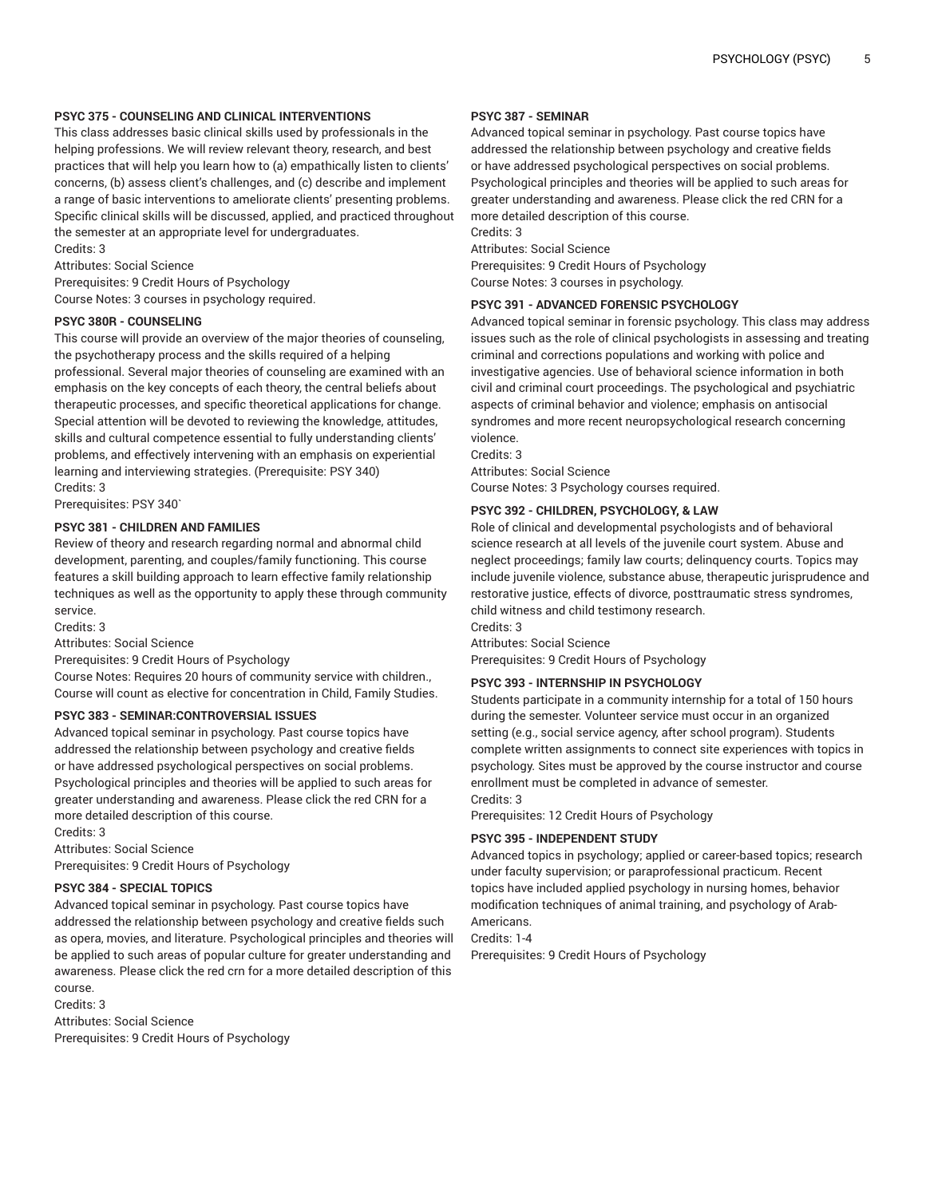## **PSYC 375 - COUNSELING AND CLINICAL INTERVENTIONS**

This class addresses basic clinical skills used by professionals in the helping professions. We will review relevant theory, research, and best practices that will help you learn how to (a) empathically listen to clients' concerns, (b) assess client's challenges, and (c) describe and implement a range of basic interventions to ameliorate clients' presenting problems. Specific clinical skills will be discussed, applied, and practiced throughout the semester at an appropriate level for undergraduates.

Credits: 3

Attributes: Social Science

Prerequisites: 9 Credit Hours of Psychology

Course Notes: 3 courses in psychology required.

## **PSYC 380R - COUNSELING**

This course will provide an overview of the major theories of counseling, the psychotherapy process and the skills required of a helping professional. Several major theories of counseling are examined with an emphasis on the key concepts of each theory, the central beliefs about therapeutic processes, and specific theoretical applications for change. Special attention will be devoted to reviewing the knowledge, attitudes, skills and cultural competence essential to fully understanding clients' problems, and effectively intervening with an emphasis on experiential learning and interviewing strategies. (Prerequisite: PSY 340) Credits: 3

Prerequisites: PSY 340`

## **PSYC 381 - CHILDREN AND FAMILIES**

Review of theory and research regarding normal and abnormal child development, parenting, and couples/family functioning. This course features a skill building approach to learn effective family relationship techniques as well as the opportunity to apply these through community service.

Credits: 3

Attributes: Social Science

Prerequisites: 9 Credit Hours of Psychology

Course Notes: Requires 20 hours of community service with children., Course will count as elective for concentration in Child, Family Studies.

## **PSYC 383 - SEMINAR:CONTROVERSIAL ISSUES**

Advanced topical seminar in psychology. Past course topics have addressed the relationship between psychology and creative fields or have addressed psychological perspectives on social problems. Psychological principles and theories will be applied to such areas for greater understanding and awareness. Please click the red CRN for a more detailed description of this course.

Credits: 3

Attributes: Social Science

Prerequisites: 9 Credit Hours of Psychology

## **PSYC 384 - SPECIAL TOPICS**

Advanced topical seminar in psychology. Past course topics have addressed the relationship between psychology and creative fields such as opera, movies, and literature. Psychological principles and theories will be applied to such areas of popular culture for greater understanding and awareness. Please click the red crn for a more detailed description of this course.

Credits: 3

Attributes: Social Science Prerequisites: 9 Credit Hours of Psychology

## **PSYC 387 - SEMINAR**

Advanced topical seminar in psychology. Past course topics have addressed the relationship between psychology and creative fields or have addressed psychological perspectives on social problems. Psychological principles and theories will be applied to such areas for greater understanding and awareness. Please click the red CRN for a more detailed description of this course. Credits: 3

Attributes: Social Science Prerequisites: 9 Credit Hours of Psychology Course Notes: 3 courses in psychology.

## **PSYC 391 - ADVANCED FORENSIC PSYCHOLOGY**

Advanced topical seminar in forensic psychology. This class may address issues such as the role of clinical psychologists in assessing and treating criminal and corrections populations and working with police and investigative agencies. Use of behavioral science information in both civil and criminal court proceedings. The psychological and psychiatric aspects of criminal behavior and violence; emphasis on antisocial syndromes and more recent neuropsychological research concerning violence.

Credits: 3

Attributes: Social Science Course Notes: 3 Psychology courses required.

## **PSYC 392 - CHILDREN, PSYCHOLOGY, & LAW**

Role of clinical and developmental psychologists and of behavioral science research at all levels of the juvenile court system. Abuse and neglect proceedings; family law courts; delinquency courts. Topics may include juvenile violence, substance abuse, therapeutic jurisprudence and restorative justice, effects of divorce, posttraumatic stress syndromes, child witness and child testimony research. Credits: 3

Attributes: Social Science

Prerequisites: 9 Credit Hours of Psychology

## **PSYC 393 - INTERNSHIP IN PSYCHOLOGY**

Students participate in a community internship for a total of 150 hours during the semester. Volunteer service must occur in an organized setting (e.g., social service agency, after school program). Students complete written assignments to connect site experiences with topics in psychology. Sites must be approved by the course instructor and course enrollment must be completed in advance of semester. Credits: 3

Prerequisites: 12 Credit Hours of Psychology

## **PSYC 395 - INDEPENDENT STUDY**

Advanced topics in psychology; applied or career-based topics; research under faculty supervision; or paraprofessional practicum. Recent topics have included applied psychology in nursing homes, behavior modification techniques of animal training, and psychology of Arab-Americans.

Credits: 1-4

Prerequisites: 9 Credit Hours of Psychology